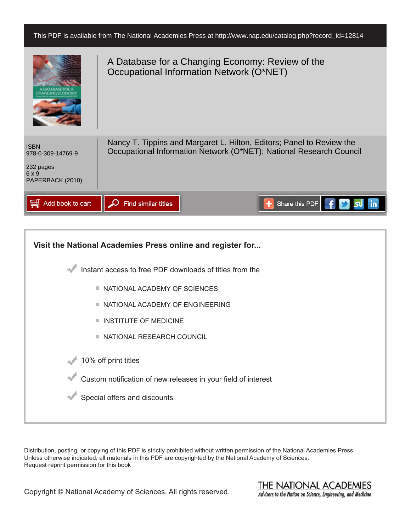This PDF is available from The National Academies Press at [http://www.nap.edu/catalog.php?record\\_id=12814](http://www.nap.edu/catalog.php?record_id=12814)

|                                                                            | Occupational Information Network (O*NET) | A Database for a Changing Economy: Review of the                                                                                             |
|----------------------------------------------------------------------------|------------------------------------------|----------------------------------------------------------------------------------------------------------------------------------------------|
| <b>ISBN</b><br>978-0-309-14769-9<br>232 pages<br>6 x 9<br>PAPERBACK (2010) |                                          | Nancy T. Tippins and Margaret L. Hilton, Editors; Panel to Review the<br>Occupational Information Network (O*NET); National Research Council |
| Add book to cart                                                           | <b>Find similar titles</b>               | Share this PDF                                                                                                                               |

| Visit the National Academies Press online and register for    |  |  |
|---------------------------------------------------------------|--|--|
| Instant access to free PDF downloads of titles from the       |  |  |
| $\blacksquare$ NATIONAL ACADEMY OF SCIENCES                   |  |  |
| NATIONAL ACADEMY OF ENGINEERING                               |  |  |
| ■ INSTITUTE OF MEDICINE                                       |  |  |
| NATIONAL RESEARCH COUNCIL<br><b>College</b>                   |  |  |
| 10% off print titles                                          |  |  |
| Custom notification of new releases in your field of interest |  |  |
| Special offers and discounts                                  |  |  |
|                                                               |  |  |
|                                                               |  |  |

Distribution, posting, or copying of this PDF is strictly prohibited without written permission of the National Academies Press. Unless otherwise indicated, all materials in this PDF are copyrighted by the National Academy of Sciences. [Request reprint permission for this book](http://www.nap.edu/reprint_permission.html)

Copyright © National Academy of Sciences. All rights reserved.

THE NATIONAL ACADEMIES Advisers to the Nation on Science, Engineering, and Medicine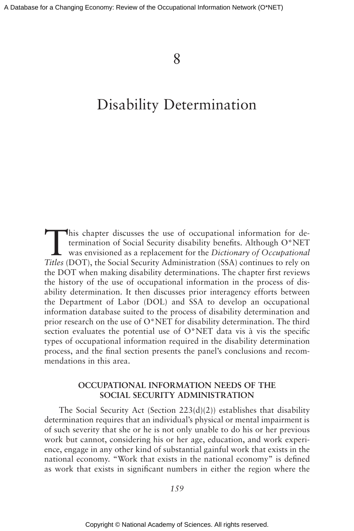8

# Disability Determination

This chapter discusses the use of occupational information for determination of Social Security disability benefits. Although O\*NET was envisioned as a replacement for the *Dictionary of Occupational Titles* (DOT), the S termination of Social Security disability benefits. Although O\*NET *Titles* (DOT), the Social Security Administration (SSA) continues to rely on the DOT when making disability determinations. The chapter first reviews the history of the use of occupational information in the process of disability determination. It then discusses prior interagency efforts between the Department of Labor (DOL) and SSA to develop an occupational information database suited to the process of disability determination and prior research on the use of  $O^*NET$  for disability determination. The third section evaluates the potential use of O\*NET data vis à vis the specific types of occupational information required in the disability determination process, and the final section presents the panel's conclusions and recommendations in this area.

# **OCCUPATIONAL INFORMATION NEEDS OF THE social security administration**

The Social Security Act (Section 223(d)(2)) establishes that disability determination requires that an individual's physical or mental impairment is of such severity that she or he is not only unable to do his or her previous work but cannot, considering his or her age, education, and work experience, engage in any other kind of substantial gainful work that exists in the national economy. "Work that exists in the national economy" is defined as work that exists in significant numbers in either the region where the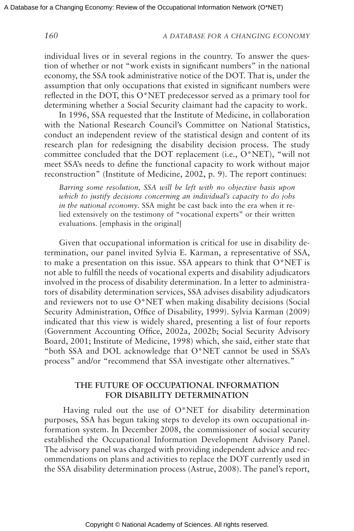individual lives or in several regions in the country. To answer the question of whether or not "work exists in significant numbers" in the national economy, the SSA took administrative notice of the DOT. That is, under the assumption that only occupations that existed in significant numbers were reflected in the DOT, this O\*NET predecessor served as a primary tool for determining whether a Social Security claimant had the capacity to work.

In 1996, SSA requested that the Institute of Medicine, in collaboration with the National Research Council's Committee on National Statistics, conduct an independent review of the statistical design and content of its research plan for redesigning the disability decision process. The study committee concluded that the DOT replacement (i.e., O\*NET), "will not meet SSA's needs to define the functional capacity to work without major reconstruction" (Institute of Medicine, 2002, p. 9). The report continues:

*Barring some resolution, SSA will be left with no objective basis upon which to justify decisions concerning an individual's capacity to do jobs in the national economy*. SSA might be cast back into the era when it relied extensively on the testimony of "vocational experts" or their written evaluations. [emphasis in the original]

Given that occupational information is critical for use in disability determination, our panel invited Sylvia E. Karman, a representative of SSA, to make a presentation on this issue. SSA appears to think that O\*NET is not able to fulfill the needs of vocational experts and disability adjudicators involved in the process of disability determination. In a letter to administrators of disability determination services, SSA advises disability adjudicators and reviewers not to use O\*NET when making disability decisions (Social Security Administration, Office of Disability, 1999). Sylvia Karman (2009) indicated that this view is widely shared, presenting a list of four reports (Government Accounting Office, 2002a, 2002b; Social Security Advisory Board, 2001; Institute of Medicine, 1998) which, she said, either state that "both SSA and DOL acknowledge that O\*NET cannot be used in SSA's process" and/or "recommend that SSA investigate other alternatives."

# **The future of occupational information for disability determination**

 Having ruled out the use of O\*NET for disability determination purposes, SSA has begun taking steps to develop its own occupational information system. In December 2008, the commissioner of social security established the Occupational Information Development Advisory Panel. The advisory panel was charged with providing independent advice and recommendations on plans and activities to replace the DOT currently used in the SSA disability determination process (Astrue, 2008). The panel's report,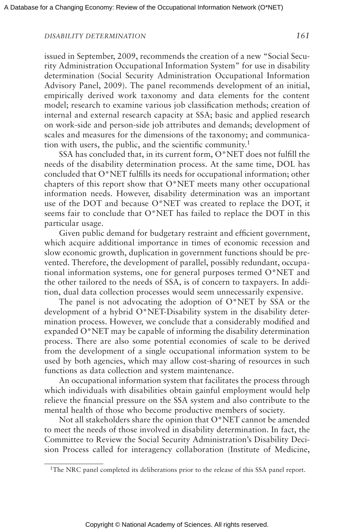issued in September, 2009, recommends the creation of a new "Social Security Administration Occupational Information System" for use in disability determination (Social Security Administration Occupational Information Advisory Panel, 2009). The panel recommends development of an initial, empirically derived work taxonomy and data elements for the content model; research to examine various job classification methods; creation of internal and external research capacity at SSA; basic and applied research on work-side and person-side job attributes and demands; development of scales and measures for the dimensions of the taxonomy; and communication with users, the public, and the scientific community.1

SSA has concluded that, in its current form, O\*NET does not fulfill the needs of the disability determination process. At the same time, DOL has concluded that O\*NET fulfills its needs for occupational information; other chapters of this report show that O\*NET meets many other occupational information needs. However, disability determination was an important use of the DOT and because O\*NET was created to replace the DOT, it seems fair to conclude that  $O^*NET$  has failed to replace the DOT in this particular usage.

Given public demand for budgetary restraint and efficient government, which acquire additional importance in times of economic recession and slow economic growth, duplication in government functions should be prevented. Therefore, the development of parallel, possibly redundant, occupational information systems, one for general purposes termed O\*NET and the other tailored to the needs of SSA, is of concern to taxpayers. In addition, dual data collection processes would seem unnecessarily expensive.

The panel is not advocating the adoption of  $O*NET$  by SSA or the development of a hybrid O\*NET-Disability system in the disability determination process. However, we conclude that a considerably modified and expanded O\*NET may be capable of informing the disability determination process. There are also some potential economies of scale to be derived from the development of a single occupational information system to be used by both agencies, which may allow cost-sharing of resources in such functions as data collection and system maintenance.

An occupational information system that facilitates the process through which individuals with disabilities obtain gainful employment would help relieve the financial pressure on the SSA system and also contribute to the mental health of those who become productive members of society.

Not all stakeholders share the opinion that O\*NET cannot be amended to meet the needs of those involved in disability determination. In fact, the Committee to Review the Social Security Administration's Disability Decision Process called for interagency collaboration (Institute of Medicine,

<sup>&</sup>lt;sup>1</sup>The NRC panel completed its deliberations prior to the release of this SSA panel report.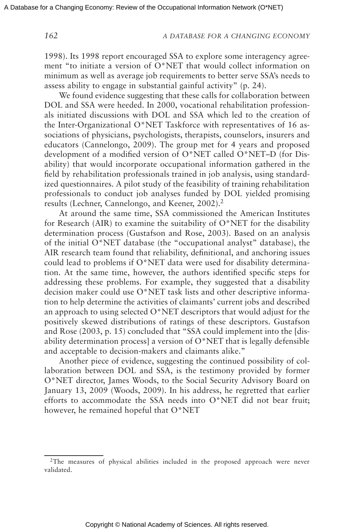1998). Its 1998 report encouraged SSA to explore some interagency agreement "to initiate a version of O\*NET that would collect information on minimum as well as average job requirements to better serve SSA's needs to assess ability to engage in substantial gainful activity" (p. 24).

We found evidence suggesting that these calls for collaboration between DOL and SSA were heeded. In 2000, vocational rehabilitation professionals initiated discussions with DOL and SSA which led to the creation of the Inter-Organizational O\*NET Taskforce with representatives of 16 associations of physicians, psychologists, therapists, counselors, insurers and educators (Cannelongo, 2009). The group met for 4 years and proposed development of a modified version of O\*NET called O\*NET–D (for Disability) that would incorporate occupational information gathered in the field by rehabilitation professionals trained in job analysis, using standardized questionnaires. A pilot study of the feasibility of training rehabilitation professionals to conduct job analyses funded by DOL yielded promising results (Lechner, Cannelongo, and Keener, 2002).2

At around the same time, SSA commissioned the American Institutes for Research (AIR) to examine the suitability of  $O^*NET$  for the disability determination process (Gustafson and Rose, 2003). Based on an analysis of the initial O\*NET database (the "occupational analyst" database), the AIR research team found that reliability, definitional, and anchoring issues could lead to problems if O\*NET data were used for disability determination. At the same time, however, the authors identified specific steps for addressing these problems. For example, they suggested that a disability decision maker could use  $O^*NET$  task lists and other descriptive information to help determine the activities of claimants' current jobs and described an approach to using selected  $O^*NET$  descriptors that would adjust for the positively skewed distributions of ratings of these descriptors. Gustafson and Rose (2003, p. 15) concluded that "SSA could implement into the [disability determination process a version of  $O^*NET$  that is legally defensible and acceptable to decision-makers and claimants alike."

Another piece of evidence, suggesting the continued possibility of collaboration between DOL and SSA, is the testimony provided by former O\*NET director, James Woods, to the Social Security Advisory Board on January 13, 2009 (Woods, 2009). In his address, he regretted that earlier efforts to accommodate the SSA needs into  $O^*NET$  did not bear fruit; however, he remained hopeful that O\*NET

<sup>&</sup>lt;sup>2</sup>The measures of physical abilities included in the proposed approach were never validated.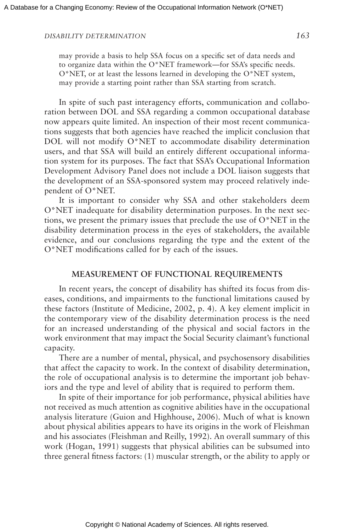may provide a basis to help SSA focus on a specific set of data needs and to organize data within the O\*NET framework—for SSA's specific needs. O\*NET, or at least the lessons learned in developing the O\*NET system, may provide a starting point rather than SSA starting from scratch.

In spite of such past interagency efforts, communication and collaboration between DOL and SSA regarding a common occupational database now appears quite limited. An inspection of their most recent communications suggests that both agencies have reached the implicit conclusion that DOL will not modify O\*NET to accommodate disability determination users, and that SSA will build an entirely different occupational information system for its purposes. The fact that SSA's Occupational Information Development Advisory Panel does not include a DOL liaison suggests that the development of an SSA-sponsored system may proceed relatively independent of O\*NET.

It is important to consider why SSA and other stakeholders deem O\*NET inadequate for disability determination purposes. In the next sections, we present the primary issues that preclude the use of  $O^*NET$  in the disability determination process in the eyes of stakeholders, the available evidence, and our conclusions regarding the type and the extent of the O\*NET modifications called for by each of the issues.

# **measurement of functional requirements**

In recent years, the concept of disability has shifted its focus from diseases, conditions, and impairments to the functional limitations caused by these factors (Institute of Medicine, 2002, p. 4). A key element implicit in the contemporary view of the disability determination process is the need for an increased understanding of the physical and social factors in the work environment that may impact the Social Security claimant's functional capacity.

There are a number of mental, physical, and psychosensory disabilities that affect the capacity to work. In the context of disability determination, the role of occupational analysis is to determine the important job behaviors and the type and level of ability that is required to perform them.

In spite of their importance for job performance, physical abilities have not received as much attention as cognitive abilities have in the occupational analysis literature (Guion and Highhouse, 2006). Much of what is known about physical abilities appears to have its origins in the work of Fleishman and his associates (Fleishman and Reilly, 1992). An overall summary of this work (Hogan, 1991) suggests that physical abilities can be subsumed into three general fitness factors: (1) muscular strength, or the ability to apply or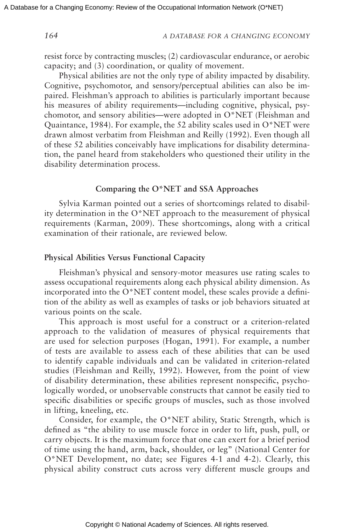resist force by contracting muscles; (2) cardiovascular endurance, or aerobic capacity; and (3) coordination, or quality of movement.

Physical abilities are not the only type of ability impacted by disability. Cognitive, psychomotor, and sensory/perceptual abilities can also be impaired. Fleishman's approach to abilities is particularly important because his measures of ability requirements—including cognitive, physical, psychomotor, and sensory abilities—were adopted in O\*NET (Fleishman and Quaintance, 1984). For example, the 52 ability scales used in O\*NET were drawn almost verbatim from Fleishman and Reilly (1992). Even though all of these 52 abilities conceivably have implications for disability determination, the panel heard from stakeholders who questioned their utility in the disability determination process.

### **Comparing the O\*Net and ssa Approaches**

Sylvia Karman pointed out a series of shortcomings related to disability determination in the O\*NET approach to the measurement of physical requirements (Karman, 2009). These shortcomings, along with a critical examination of their rationale, are reviewed below.

# **Physical Abilities Versus Functional Capacity**

Fleishman's physical and sensory-motor measures use rating scales to assess occupational requirements along each physical ability dimension. As incorporated into the O\*NET content model, these scales provide a definition of the ability as well as examples of tasks or job behaviors situated at various points on the scale.

This approach is most useful for a construct or a criterion-related approach to the validation of measures of physical requirements that are used for selection purposes (Hogan, 1991). For example, a number of tests are available to assess each of these abilities that can be used to identify capable individuals and can be validated in criterion-related studies (Fleishman and Reilly, 1992). However, from the point of view of disability determination, these abilities represent nonspecific, psychologically worded, or unobservable constructs that cannot be easily tied to specific disabilities or specific groups of muscles, such as those involved in lifting, kneeling, etc.

Consider, for example, the O\*NET ability, Static Strength, which is defined as "the ability to use muscle force in order to lift, push, pull, or carry objects. It is the maximum force that one can exert for a brief period of time using the hand, arm, back, shoulder, or leg" (National Center for O\*NET Development, no date; see Figures 4-1 and 4-2). Clearly, this physical ability construct cuts across very different muscle groups and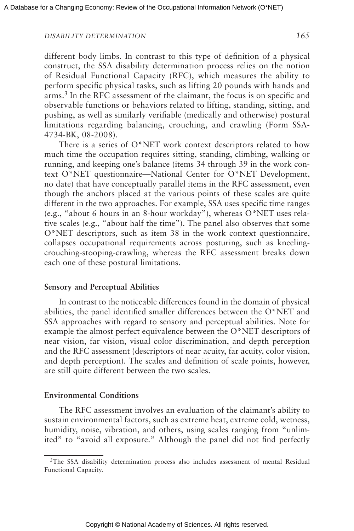different body limbs. In contrast to this type of definition of a physical construct, the SSA disability determination process relies on the notion of Residual Functional Capacity (RFC), which measures the ability to perform specific physical tasks, such as lifting 20 pounds with hands and arms.3 In the RFC assessment of the claimant, the focus is on specific and observable functions or behaviors related to lifting, standing, sitting, and pushing, as well as similarly verifiable (medically and otherwise) postural limitations regarding balancing, crouching, and crawling (Form SSA-4734-BK, 08-2008).

There is a series of O\*NET work context descriptors related to how much time the occupation requires sitting, standing, climbing, walking or running, and keeping one's balance (items 34 through 39 in the work context O\*NET questionnaire—National Center for O\*NET Development, no date) that have conceptually parallel items in the RFC assessment, even though the anchors placed at the various points of these scales are quite different in the two approaches. For example, SSA uses specific time ranges (e.g., "about 6 hours in an 8-hour workday"), whereas O\*NET uses relative scales (e.g., "about half the time"). The panel also observes that some O\*NET descriptors, such as item 38 in the work context questionnaire, collapses occupational requirements across posturing, such as kneelingcrouching-stooping-crawling, whereas the RFC assessment breaks down each one of these postural limitations.

# **Sensory and Perceptual Abilities**

In contrast to the noticeable differences found in the domain of physical abilities, the panel identified smaller differences between the O\*NET and SSA approaches with regard to sensory and perceptual abilities. Note for example the almost perfect equivalence between the O\*NET descriptors of near vision, far vision, visual color discrimination, and depth perception and the RFC assessment (descriptors of near acuity, far acuity, color vision, and depth perception). The scales and definition of scale points, however, are still quite different between the two scales.

# **Environmental Conditions**

The RFC assessment involves an evaluation of the claimant's ability to sustain environmental factors, such as extreme heat, extreme cold, wetness, humidity, noise, vibration, and others, using scales ranging from "unlimited" to "avoid all exposure." Although the panel did not find perfectly

<sup>&</sup>lt;sup>3</sup>The SSA disability determination process also includes assessment of mental Residual Functional Capacity.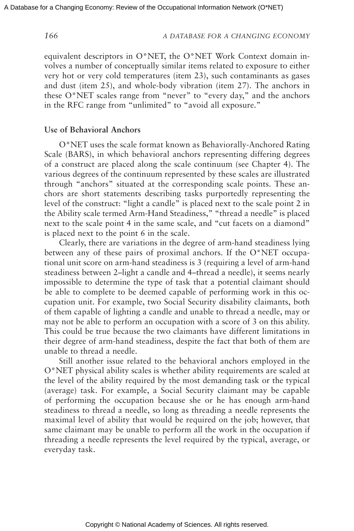equivalent descriptors in O\*NET, the O\*NET Work Context domain involves a number of conceptually similar items related to exposure to either very hot or very cold temperatures (item 23), such contaminants as gases and dust (item 25), and whole-body vibration (item 27). The anchors in these O\*NET scales range from "never" to "every day," and the anchors in the RFC range from "unlimited" to "avoid all exposure."

### **Use of Behavioral Anchors**

O\*NET uses the scale format known as Behaviorally-Anchored Rating Scale (BARS), in which behavioral anchors representing differing degrees of a construct are placed along the scale continuum (see Chapter 4). The various degrees of the continuum represented by these scales are illustrated through "anchors" situated at the corresponding scale points. These anchors are short statements describing tasks purportedly representing the level of the construct: "light a candle" is placed next to the scale point 2 in the Ability scale termed Arm-Hand Steadiness," "thread a needle" is placed next to the scale point 4 in the same scale, and "cut facets on a diamond" is placed next to the point 6 in the scale.

Clearly, there are variations in the degree of arm-hand steadiness lying between any of these pairs of proximal anchors. If the O\*NET occupational unit score on arm-hand steadiness is 3 (requiring a level of arm-hand steadiness between 2–light a candle and 4–thread a needle), it seems nearly impossible to determine the type of task that a potential claimant should be able to complete to be deemed capable of performing work in this occupation unit. For example, two Social Security disability claimants, both of them capable of lighting a candle and unable to thread a needle, may or may not be able to perform an occupation with a score of 3 on this ability. This could be true because the two claimants have different limitations in their degree of arm-hand steadiness, despite the fact that both of them are unable to thread a needle.

Still another issue related to the behavioral anchors employed in the O\*NET physical ability scales is whether ability requirements are scaled at the level of the ability required by the most demanding task or the typical (average) task. For example, a Social Security claimant may be capable of performing the occupation because she or he has enough arm-hand steadiness to thread a needle, so long as threading a needle represents the maximal level of ability that would be required on the job; however, that same claimant may be unable to perform all the work in the occupation if threading a needle represents the level required by the typical, average, or everyday task.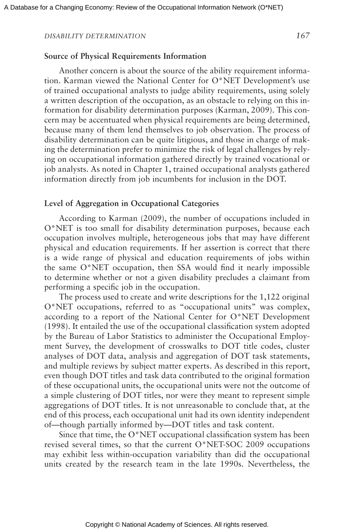### **Source of Physical Requirements Information**

Another concern is about the source of the ability requirement information. Karman viewed the National Center for O\*NET Development's use of trained occupational analysts to judge ability requirements, using solely a written description of the occupation, as an obstacle to relying on this information for disability determination purposes (Karman, 2009). This concern may be accentuated when physical requirements are being determined, because many of them lend themselves to job observation. The process of disability determination can be quite litigious, and those in charge of making the determination prefer to minimize the risk of legal challenges by relying on occupational information gathered directly by trained vocational or job analysts. As noted in Chapter 1, trained occupational analysts gathered information directly from job incumbents for inclusion in the DOT.

# **Level of Aggregation in Occupational Categories**

According to Karman (2009), the number of occupations included in O\*NET is too small for disability determination purposes, because each occupation involves multiple, heterogeneous jobs that may have different physical and education requirements. If her assertion is correct that there is a wide range of physical and education requirements of jobs within the same O\*NET occupation, then SSA would find it nearly impossible to determine whether or not a given disability precludes a claimant from performing a specific job in the occupation.

The process used to create and write descriptions for the 1,122 original O\*NET occupations, referred to as "occupational units" was complex, according to a report of the National Center for O\*NET Development (1998). It entailed the use of the occupational classification system adopted by the Bureau of Labor Statistics to administer the Occupational Employment Survey, the development of crosswalks to DOT title codes, cluster analyses of DOT data, analysis and aggregation of DOT task statements, and multiple reviews by subject matter experts. As described in this report, even though DOT titles and task data contributed to the original formation of these occupational units, the occupational units were not the outcome of a simple clustering of DOT titles, nor were they meant to represent simple aggregations of DOT titles. It is not unreasonable to conclude that, at the end of this process, each occupational unit had its own identity independent of—though partially informed by—DOT titles and task content.

Since that time, the  $O^*NET$  occupational classification system has been revised several times, so that the current O\*NET-SOC 2009 occupations may exhibit less within-occupation variability than did the occupational units created by the research team in the late 1990s. Nevertheless, the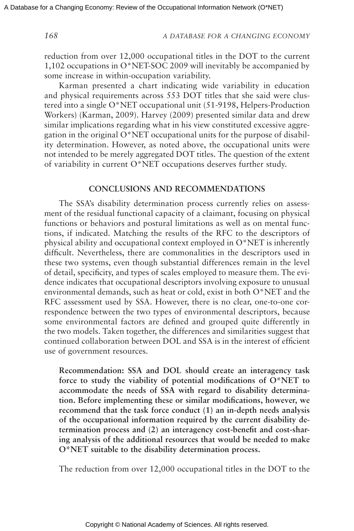reduction from over 12,000 occupational titles in the DOT to the current 1,102 occupations in O\*NET-SOC 2009 will inevitably be accompanied by some increase in within-occupation variability.

Karman presented a chart indicating wide variability in education and physical requirements across 553 DOT titles that she said were clustered into a single O\*NET occupational unit (51-9198, Helpers-Production Workers) (Karman, 2009). Harvey (2009) presented similar data and drew similar implications regarding what in his view constituted excessive aggregation in the original  $O^*NET$  occupational units for the purpose of disability determination. However, as noted above, the occupational units were not intended to be merely aggregated DOT titles. The question of the extent of variability in current O\*NET occupations deserves further study.

# **conclusions and recommendations**

The SSA's disability determination process currently relies on assessment of the residual functional capacity of a claimant, focusing on physical functions or behaviors and postural limitations as well as on mental functions, if indicated. Matching the results of the RFC to the descriptors of physical ability and occupational context employed in O\*NET is inherently difficult. Nevertheless, there are commonalities in the descriptors used in these two systems, even though substantial differences remain in the level of detail, specificity, and types of scales employed to measure them. The evidence indicates that occupational descriptors involving exposure to unusual environmental demands, such as heat or cold, exist in both O\*NET and the RFC assessment used by SSA. However, there is no clear, one-to-one correspondence between the two types of environmental descriptors, because some environmental factors are defined and grouped quite differently in the two models. Taken together, the differences and similarities suggest that continued collaboration between DOL and SSA is in the interest of efficient use of government resources.

**Recommendation: SSA and DOL should create an interagency task force to study the viability of potential modifications of O\*NET to accommodate the needs of SSA with regard to disability determination. Before implementing these or similar modifications, however, we recommend that the task force conduct (1) an in-depth needs analysis of the occupational information required by the current disability determination process and (2) an interagency cost-benefit and cost-sharing analysis of the additional resources that would be needed to make O\*NET suitable to the disability determination process.**

The reduction from over 12,000 occupational titles in the DOT to the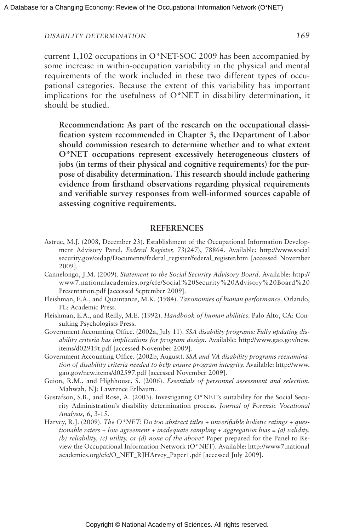current 1,102 occupations in O\*NET-SOC 2009 has been accompanied by some increase in within-occupation variability in the physical and mental requirements of the work included in these two different types of occupational categories. Because the extent of this variability has important implications for the usefulness of O\*NET in disability determination, it should be studied.

**Recommendation: As part of the research on the occupational classification system recommended in Chapter 3, the Department of Labor should commission research to determine whether and to what extent O\*NET occupations represent excessively heterogeneous clusters of jobs (in terms of their physical and cognitive requirements) for the purpose of disability determination. This research should include gathering evidence from firsthand observations regarding physical requirements and verifiable survey responses from well-informed sources capable of assessing cognitive requirements.**

### **REFERENCES**

- Astrue, M.J. (2008, December 23). Establishment of the Occupational Information Development Advisory Panel. *Federal Register,* 7*3*(247), 78864. Available: http://www.social security.gov/oidap/Documents/federal\_register/federal\_register.htm [accessed November 2009].
- Cannelongo, J.M. (2009). *Statement to the Social Security Advisory Board*. Available: http:// www7.nationalacademies.org/cfe/Social%20Security%20Advisory%20Board%20 Presentation.pdf [accessed September 2009].
- Fleishman, E.A., and Quaintance, M.K. (1984). *Taxonomies of human performance.* Orlando, FL: Academic Press.
- Fleishman, E.A., and Reilly, M.E. (1992). *Handbook of human abilities*. Palo Alto, CA: Consulting Psychologists Press.
- Government Accounting Office. (2002a, July 11). *SSA disability programs: Fully updating disability criteria has implications for program design.* Available: http://www.gao.gov/new. items/d02919t.pdf [accessed November 2009].
- Government Accounting Office. (2002b, August). *SSA and VA disability programs reexamination of disability criteria needed to help ensure program integrity.* Available: http://www. gao.gov/new.items/d02597.pdf [accessed November 2009].
- Guion, R.M., and Highhouse, S. (2006). *Essentials of personnel assessment and selection*. Mahwah, NJ: Lawrence Erlbaum.
- Gustafson, S.B., and Rose, A. (2003). Investigating O\*NET's suitability for the Social Security Administration's disability determination process. *Journal of Forensic Vocational Analysis, 6*, 3-15.
- Harvey, R.J. (2009). *The O\*NET: Do too abstract titles + unverifiable holistic ratings + questionable raters + low agreement + inadequate sampling + aggregation bias = (a) validity, (b) reliability, (c) utility, or (d) none of the above?* Paper prepared for the Panel to Review the Occupational Information Network (O\*NET). Available: http://www7.national academies.org/cfe/O\_NET\_RJHArvey\_Paper1.pdf [accessed July 2009].